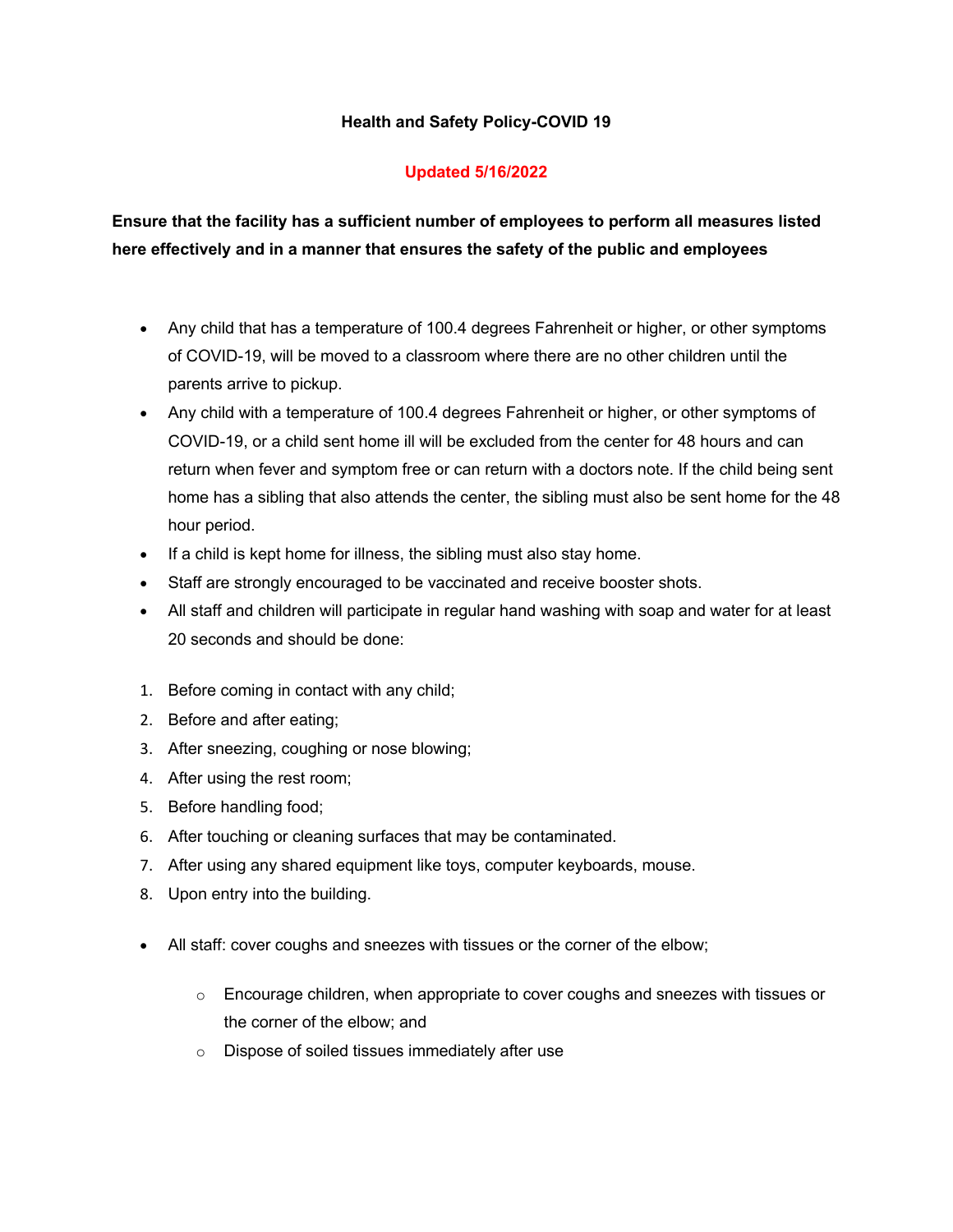#### **Health and Safety Policy-COVID 19**

## **Updated 5/16/2022**

**Ensure that the facility has a sufficient number of employees to perform all measures listed here effectively and in a manner that ensures the safety of the public and employees**

- Any child that has a temperature of 100.4 degrees Fahrenheit or higher, or other symptoms of COVID-19, will be moved to a classroom where there are no other children until the parents arrive to pickup.
- Any child with a temperature of 100.4 degrees Fahrenheit or higher, or other symptoms of COVID-19, or a child sent home ill will be excluded from the center for 48 hours and can return when fever and symptom free or can return with a doctors note. If the child being sent home has a sibling that also attends the center, the sibling must also be sent home for the 48 hour period.
- If a child is kept home for illness, the sibling must also stay home.
- Staff are strongly encouraged to be vaccinated and receive booster shots.
- All staff and children will participate in regular hand washing with soap and water for at least 20 seconds and should be done:
- 1. Before coming in contact with any child;
- 2. Before and after eating;
- 3. After sneezing, coughing or nose blowing;
- 4. After using the rest room;
- 5. Before handling food;
- 6. After touching or cleaning surfaces that may be contaminated.
- 7. After using any shared equipment like toys, computer keyboards, mouse.
- 8. Upon entry into the building.
- All staff: cover coughs and sneezes with tissues or the corner of the elbow;
	- $\circ$  Encourage children, when appropriate to cover coughs and sneezes with tissues or the corner of the elbow; and
	- o Dispose of soiled tissues immediately after use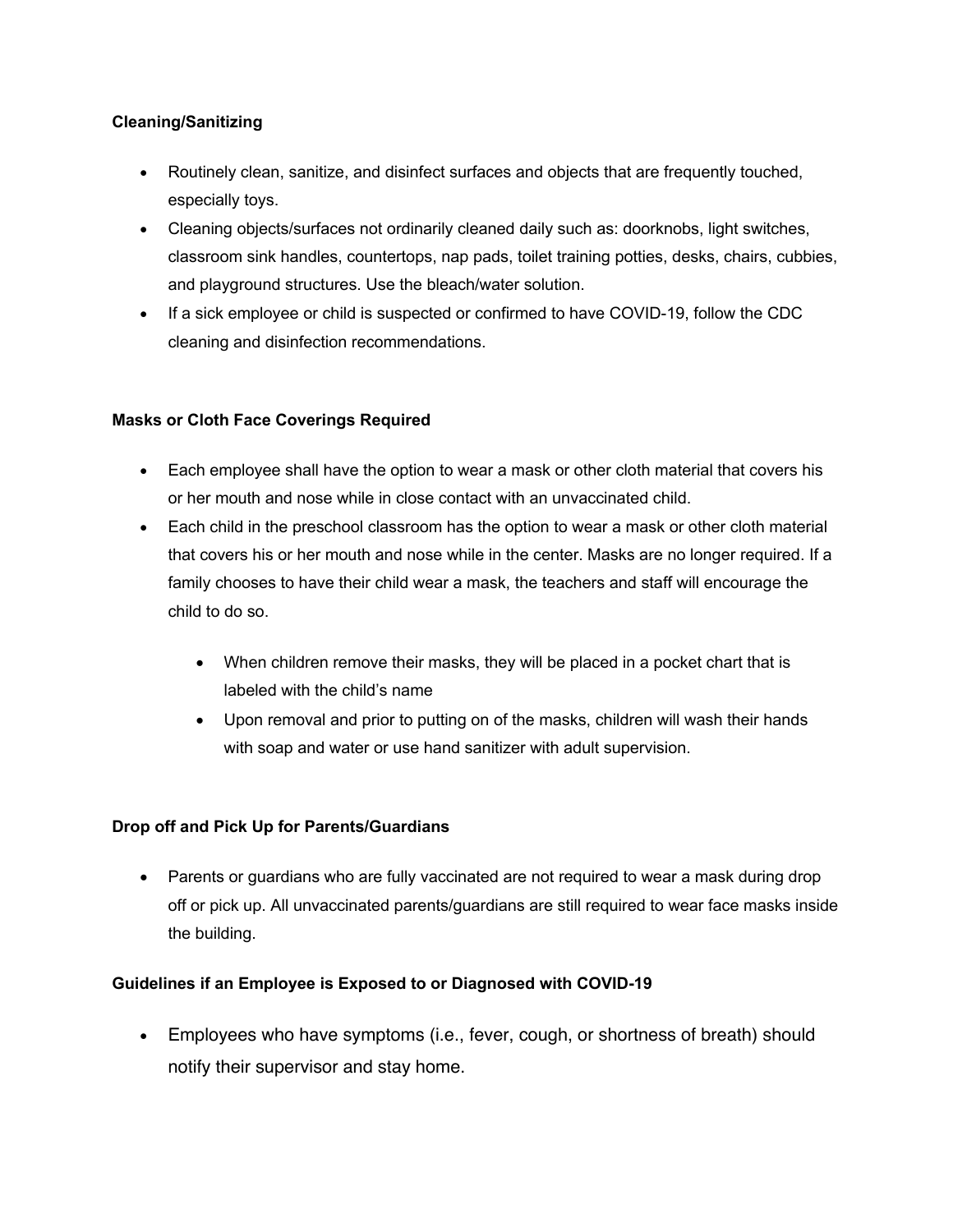## **Cleaning/Sanitizing**

- Routinely clean, sanitize, and disinfect surfaces and objects that are frequently touched, especially toys.
- Cleaning objects/surfaces not ordinarily cleaned daily such as: doorknobs, light switches, classroom sink handles, countertops, nap pads, toilet training potties, desks, chairs, cubbies, and playground structures. Use the bleach/water solution.
- If a sick employee or child is suspected or confirmed to have COVID-19, follow the CDC cleaning and disinfection recommendations.

## **Masks or Cloth Face Coverings Required**

- Each employee shall have the option to wear a mask or other cloth material that covers his or her mouth and nose while in close contact with an unvaccinated child.
- Each child in the preschool classroom has the option to wear a mask or other cloth material that covers his or her mouth and nose while in the center. Masks are no longer required. If a family chooses to have their child wear a mask, the teachers and staff will encourage the child to do so.
	- When children remove their masks, they will be placed in a pocket chart that is labeled with the child's name
	- Upon removal and prior to putting on of the masks, children will wash their hands with soap and water or use hand sanitizer with adult supervision.

# **Drop off and Pick Up for Parents/Guardians**

• Parents or guardians who are fully vaccinated are not required to wear a mask during drop off or pick up. All unvaccinated parents/guardians are still required to wear face masks inside the building.

#### **Guidelines if an Employee is Exposed to or Diagnosed with COVID-19**

• Employees who have symptoms (i.e., fever, cough, or shortness of breath) should notify their supervisor and stay home.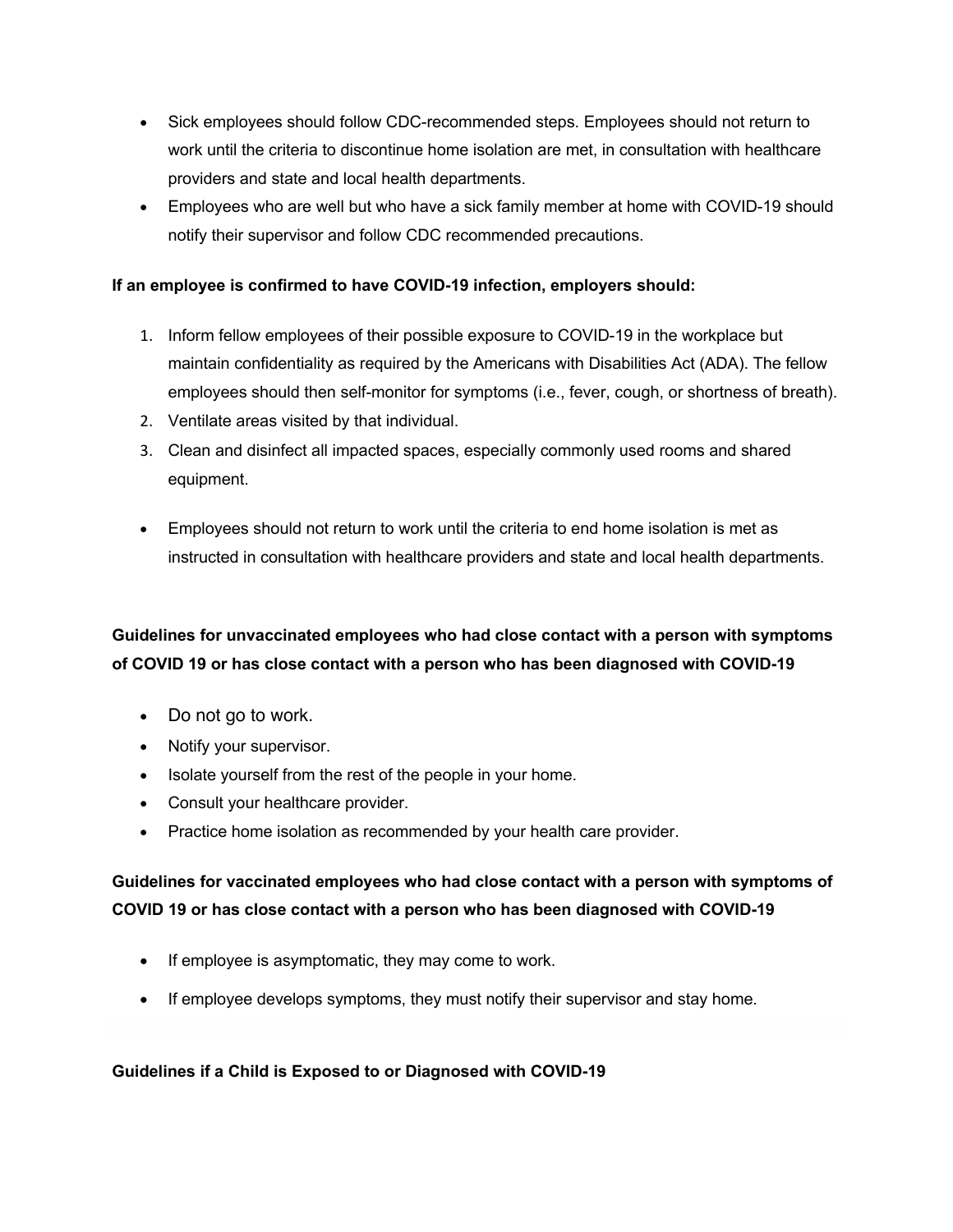- Sick employees should follow CDC-recommended steps. Employees should not return to work until the criteria to discontinue home isolation are met, in consultation with healthcare providers and state and local health departments.
- Employees who are well but who have a sick family member at home with COVID-19 should notify their supervisor and follow CDC recommended precautions.

#### **If an employee is confirmed to have COVID-19 infection, employers should:**

- 1. Inform fellow employees of their possible exposure to COVID-19 in the workplace but maintain confidentiality as required by the Americans with Disabilities Act (ADA). The fellow employees should then self-monitor for symptoms (i.e., fever, cough, or shortness of breath).
- 2. Ventilate areas visited by that individual.
- 3. Clean and disinfect all impacted spaces, especially commonly used rooms and shared equipment.
- Employees should not return to work until the criteria to end home isolation is met as instructed in consultation with healthcare providers and state and local health departments.

# **Guidelines for unvaccinated employees who had close contact with a person with symptoms of COVID 19 or has close contact with a person who has been diagnosed with COVID-19**

- Do not go to work.
- Notify your supervisor.
- Isolate yourself from the rest of the people in your home.
- Consult your healthcare provider.
- Practice home isolation as recommended by your health care provider.

# **Guidelines for vaccinated employees who had close contact with a person with symptoms of COVID 19 or has close contact with a person who has been diagnosed with COVID-19**

- If employee is asymptomatic, they may come to work.
- If employee develops symptoms, they must notify their supervisor and stay home.

#### **Guidelines if a Child is Exposed to or Diagnosed with COVID-19**